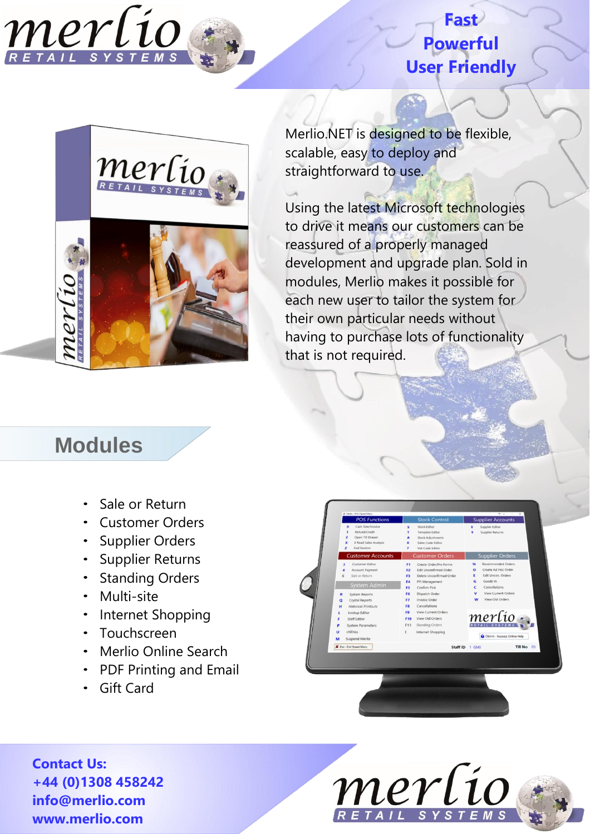#### **Fast Powerful User Friendly**



Merlio.NET is designed to be flexible, scalable, easy to deploy and straightforward to use.

Using the latest Microsoft technologies to drive it means our customers can be reassured of a properly managed development and upgrade plan. Sold in modules, Merlio makes it possible for each new user to tailor the system for their own particular needs without having to purchase lots of functionality that is not required.

### **Modules**

merlio

- Sale or Return
- Customer Orders
- Supplier Orders
- Supplier Returns
- Standing Orders
- Multi-site
- Internet Shopping
- Touchscreen
- Merlio Online Search
- PDF Printing and Email
- Gift Card

**Contact Us: +44 (0)1308 458242 info@merlio.com www.merlio.com**



Dispatch Or

View Old Ord

Staff Fdite

merlio

Till No

Staff ID 1 GM